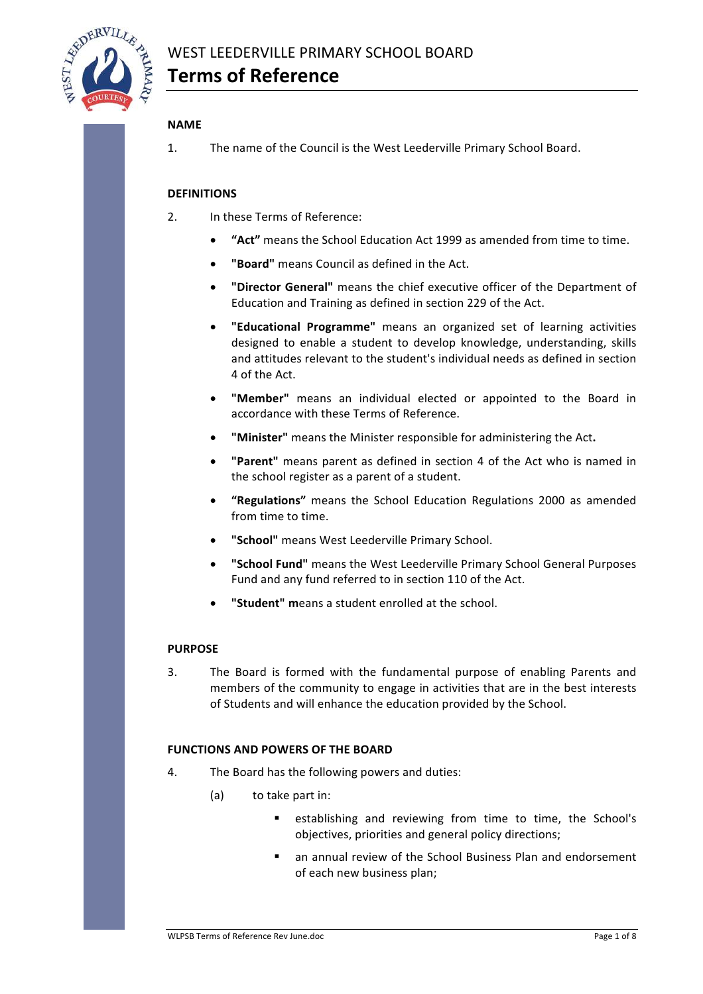

### **NAME**

1. The name of the Council is the West Leederville Primary School Board.

### **DEFINITIONS**

- 2. In these Terms of Reference:
	- **"Act"** means the School Education Act 1999 as amended from time to time.
	- **"Board"** means Council as defined in the Act.
	- **"Director General"** means the chief executive officer of the Department of Education and Training as defined in section 229 of the Act.
	- "Educational Programme" means an organized set of learning activities designed to enable a student to develop knowledge, understanding, skills and attitudes relevant to the student's individual needs as defined in section 4 of the Act.
	- "Member" means an individual elected or appointed to the Board in accordance with these Terms of Reference.
	- **"Minister"** means the Minister responsible for administering the Act.
	- "Parent" means parent as defined in section 4 of the Act who is named in the school register as a parent of a student.
	- **"Regulations"** means the School Education Regulations 2000 as amended from time to time.
	- "School" means West Leederville Primary School.
	- **•** "School Fund" means the West Leederville Primary School General Purposes Fund and any fund referred to in section 110 of the Act.
	- **"Student" means a student enrolled at the school.**

### **PURPOSE**

3. The Board is formed with the fundamental purpose of enabling Parents and members of the community to engage in activities that are in the best interests of Students and will enhance the education provided by the School.

### **FUNCTIONS AND POWERS OF THE BOARD**

- 4. The Board has the following powers and duties:
	- (a) to take part in:
		- establishing and reviewing from time to time, the School's objectives, priorities and general policy directions;
		- an annual review of the School Business Plan and endorsement of each new business plan;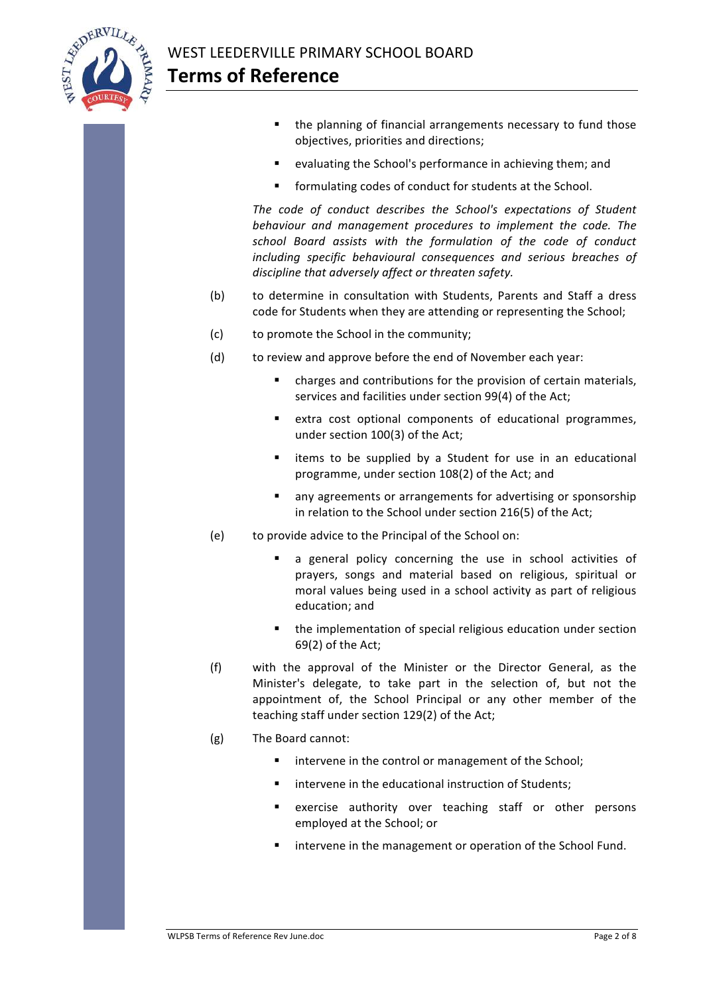

- $\blacksquare$  the planning of financial arrangements necessary to fund those objectives, priorities and directions;
- evaluating the School's performance in achieving them; and
- formulating codes of conduct for students at the School.

The code of conduct describes the School's expectations of Student behaviour and management procedures to implement the code. The school Board assists with the formulation of the code of conduct including specific behavioural consequences and serious breaches of discipline that adversely affect or threaten safety.

- (b) to determine in consultation with Students, Parents and Staff a dress code for Students when they are attending or representing the School;
- (c) to promote the School in the community;
- (d) to review and approve before the end of November each vear:
	- charges and contributions for the provision of certain materials, services and facilities under section 99(4) of the Act:
	- extra cost optional components of educational programmes, under section 100(3) of the Act;
	- items to be supplied by a Student for use in an educational programme, under section 108(2) of the Act; and
	- any agreements or arrangements for advertising or sponsorship in relation to the School under section 216(5) of the Act;
- (e) to provide advice to the Principal of the School on:
	- a general policy concerning the use in school activities of prayers, songs and material based on religious, spiritual or moral values being used in a school activity as part of religious education; and
	- $\blacksquare$  the implementation of special religious education under section  $69(2)$  of the Act;
- (f) with the approval of the Minister or the Director General, as the Minister's delegate, to take part in the selection of, but not the appointment of, the School Principal or any other member of the teaching staff under section 129(2) of the Act;
- $(g)$  The Board cannot:
	- intervene in the control or management of the School;
	- intervene in the educational instruction of Students;
	- exercise authority over teaching staff or other persons employed at the School: or
	- intervene in the management or operation of the School Fund.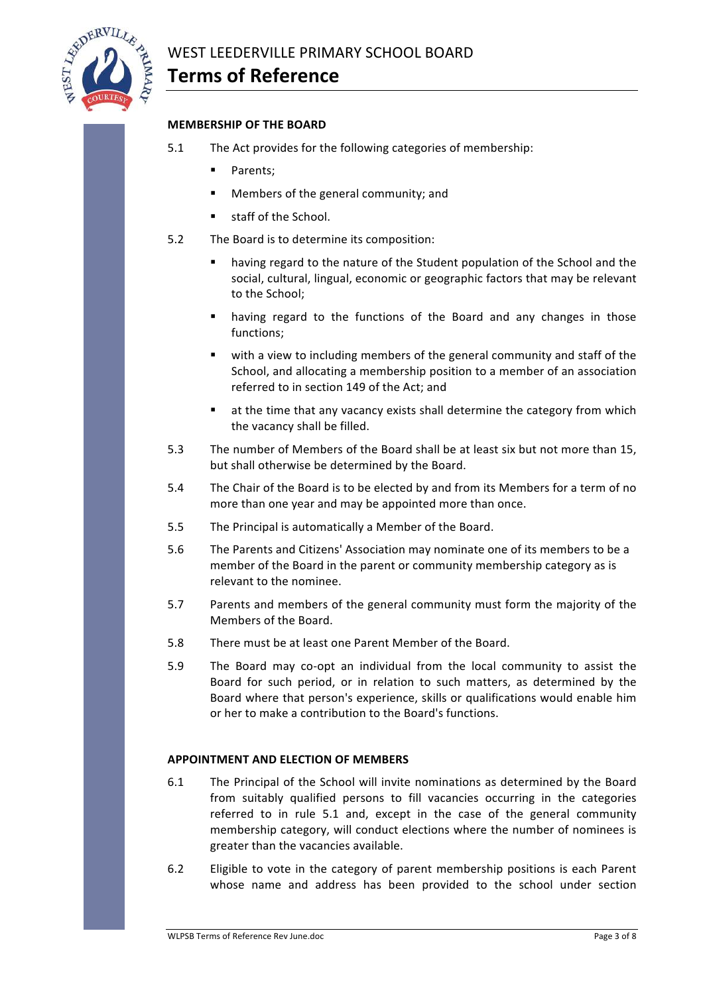

### **MEMBERSHIP OF THE BOARD**

- 5.1 The Act provides for the following categories of membership:
	- Parents:
	- Members of the general community: and
	- staff of the School
- 5.2 The Board is to determine its composition:
	- having regard to the nature of the Student population of the School and the social, cultural, lingual, economic or geographic factors that may be relevant to the School;
	- having regard to the functions of the Board and any changes in those functions;
	- with a view to including members of the general community and staff of the School, and allocating a membership position to a member of an association referred to in section 149 of the Act: and
	- **•** at the time that any vacancy exists shall determine the category from which the vacancy shall be filled.
- 5.3 The number of Members of the Board shall be at least six but not more than 15, but shall otherwise be determined by the Board.
- 5.4 The Chair of the Board is to be elected by and from its Members for a term of no more than one year and may be appointed more than once.
- 5.5 The Principal is automatically a Member of the Board.
- 5.6 The Parents and Citizens' Association may nominate one of its members to be a member of the Board in the parent or community membership category as is relevant to the nominee.
- 5.7 Parents and members of the general community must form the majority of the Members of the Board.
- 5.8 There must be at least one Parent Member of the Board.
- 5.9 The Board may co-opt an individual from the local community to assist the Board for such period, or in relation to such matters, as determined by the Board where that person's experience, skills or qualifications would enable him or her to make a contribution to the Board's functions.

### **APPOINTMENT AND ELECTION OF MEMBERS**

- 6.1 The Principal of the School will invite nominations as determined by the Board from suitably qualified persons to fill vacancies occurring in the categories referred to in rule  $5.1$  and, except in the case of the general community membership category, will conduct elections where the number of nominees is greater than the vacancies available.
- 6.2 Eligible to vote in the category of parent membership positions is each Parent whose name and address has been provided to the school under section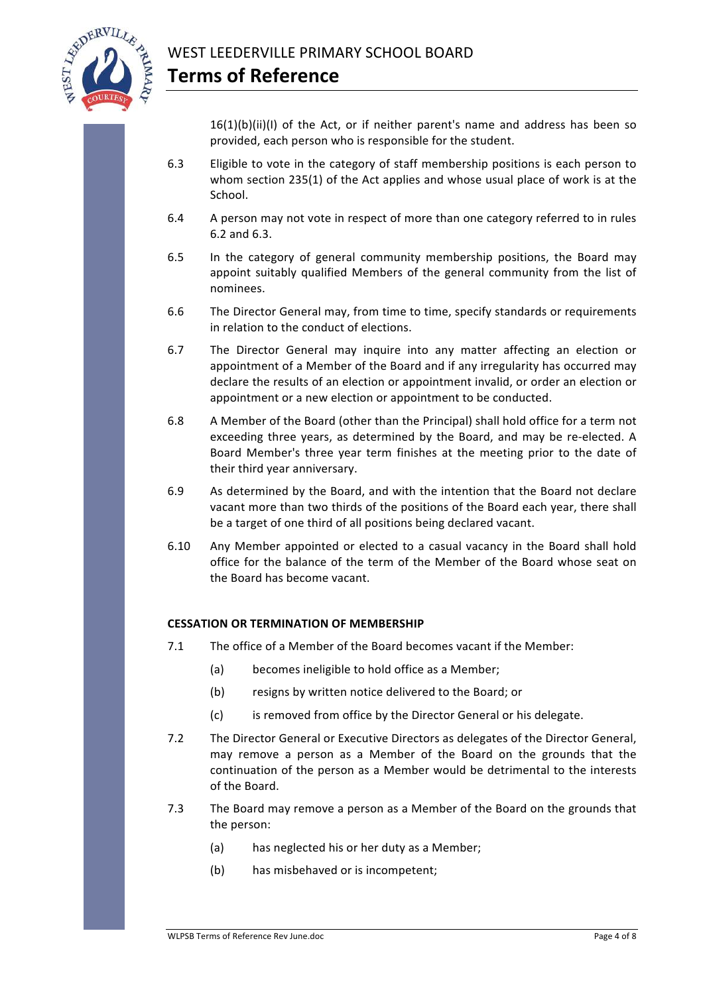

 $16(1)(b)(ii)(I)$  of the Act, or if neither parent's name and address has been so provided, each person who is responsible for the student.

- 6.3 Eligible to vote in the category of staff membership positions is each person to whom section  $235(1)$  of the Act applies and whose usual place of work is at the School.
- 6.4 A person may not vote in respect of more than one category referred to in rules 6.2 and 6.3.
- 6.5 In the category of general community membership positions, the Board may appoint suitably qualified Members of the general community from the list of nominees.
- 6.6 The Director General may, from time to time, specify standards or requirements in relation to the conduct of elections.
- 6.7 The Director General may inquire into any matter affecting an election or appointment of a Member of the Board and if any irregularity has occurred may declare the results of an election or appointment invalid, or order an election or appointment or a new election or appointment to be conducted.
- 6.8 A Member of the Board (other than the Principal) shall hold office for a term not exceeding three years, as determined by the Board, and may be re-elected. A Board Member's three year term finishes at the meeting prior to the date of their third year anniversary.
- 6.9 As determined by the Board, and with the intention that the Board not declare vacant more than two thirds of the positions of the Board each year, there shall be a target of one third of all positions being declared vacant.
- 6.10 Any Member appointed or elected to a casual vacancy in the Board shall hold office for the balance of the term of the Member of the Board whose seat on the Board has become vacant.

# **CESSATION OR TERMINATION OF MEMBERSHIP**

- 7.1 The office of a Member of the Board becomes vacant if the Member:
	- (a) becomes ineligible to hold office as a Member;
	- (b) resigns by written notice delivered to the Board; or
	- (c) is removed from office by the Director General or his delegate.
- 7.2 The Director General or Executive Directors as delegates of the Director General, may remove a person as a Member of the Board on the grounds that the continuation of the person as a Member would be detrimental to the interests of the Board.
- 7.3 The Board may remove a person as a Member of the Board on the grounds that the person:
	- (a) has neglected his or her duty as a Member;
	- (b) has misbehaved or is incompetent;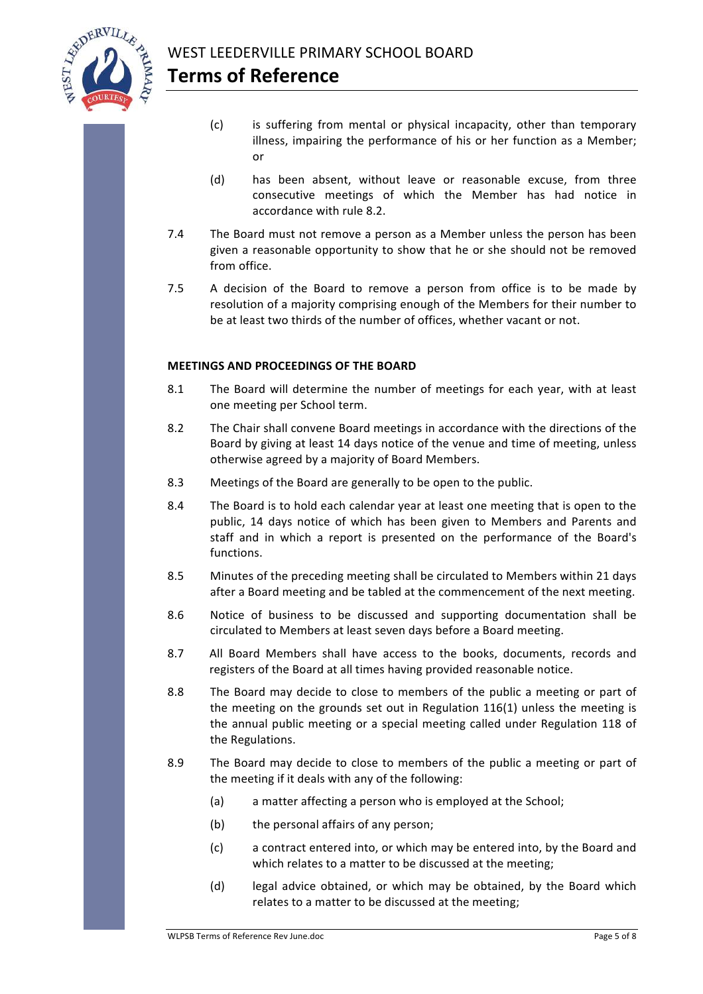

- (c) is suffering from mental or physical incapacity, other than temporary illness, impairing the performance of his or her function as a Member; or
- (d) has been absent, without leave or reasonable excuse, from three consecutive meetings of which the Member has had notice in accordance with rule 8.2.
- 7.4 The Board must not remove a person as a Member unless the person has been given a reasonable opportunity to show that he or she should not be removed from office.
- 7.5 A decision of the Board to remove a person from office is to be made by resolution of a majority comprising enough of the Members for their number to be at least two thirds of the number of offices, whether vacant or not.

### **MEETINGS AND PROCEEDINGS OF THE BOARD**

- 8.1 The Board will determine the number of meetings for each year, with at least one meeting per School term.
- 8.2 The Chair shall convene Board meetings in accordance with the directions of the Board by giving at least 14 days notice of the venue and time of meeting, unless otherwise agreed by a majority of Board Members.
- 8.3 Meetings of the Board are generally to be open to the public.
- 8.4 The Board is to hold each calendar year at least one meeting that is open to the public, 14 days notice of which has been given to Members and Parents and staff and in which a report is presented on the performance of the Board's functions.
- 8.5 Minutes of the preceding meeting shall be circulated to Members within 21 days after a Board meeting and be tabled at the commencement of the next meeting.
- 8.6 Notice of business to be discussed and supporting documentation shall be circulated to Members at least seven days before a Board meeting.
- 8.7 All Board Members shall have access to the books, documents, records and registers of the Board at all times having provided reasonable notice.
- 8.8 The Board may decide to close to members of the public a meeting or part of the meeting on the grounds set out in Regulation  $116(1)$  unless the meeting is the annual public meeting or a special meeting called under Regulation 118 of the Regulations.
- 8.9 The Board may decide to close to members of the public a meeting or part of the meeting if it deals with any of the following:
	- (a) a matter affecting a person who is employed at the School;
	- $(b)$  the personal affairs of any person:
	- (c) a contract entered into, or which may be entered into, by the Board and which relates to a matter to be discussed at the meeting;
	- (d) legal advice obtained, or which may be obtained, by the Board which relates to a matter to be discussed at the meeting;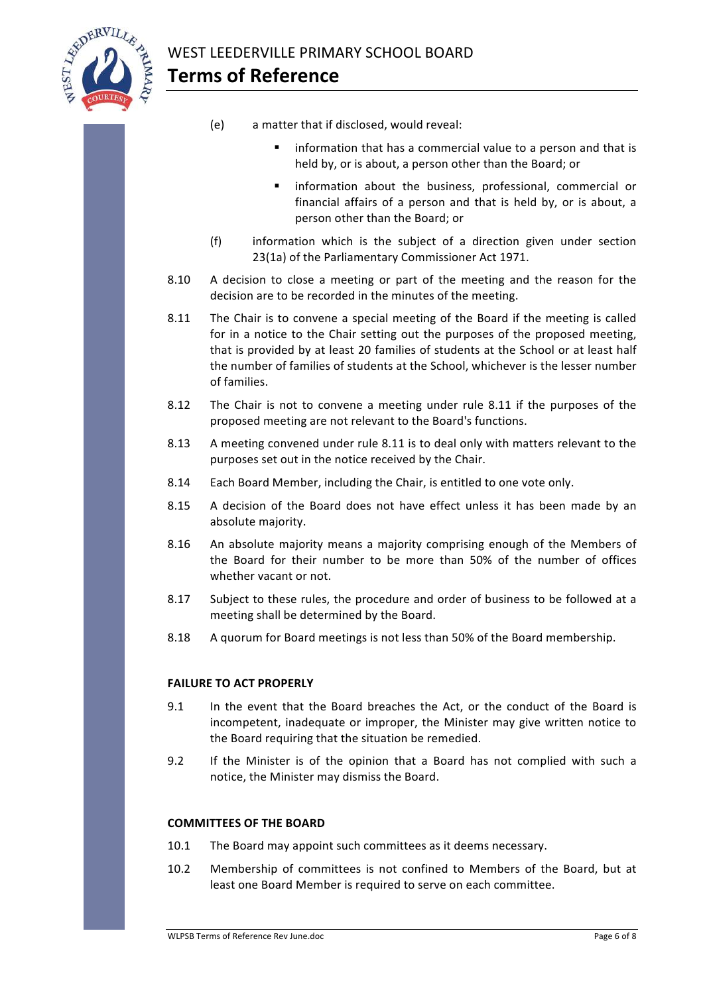

- (e) a matter that if disclosed, would reveal:
	- information that has a commercial value to a person and that is held by, or is about, a person other than the Board; or
	- information about the business, professional, commercial or financial affairs of a person and that is held by, or is about, a person other than the Board; or
- $(f)$  information which is the subject of a direction given under section 23(1a) of the Parliamentary Commissioner Act 1971.
- 8.10 A decision to close a meeting or part of the meeting and the reason for the decision are to be recorded in the minutes of the meeting.
- 8.11 The Chair is to convene a special meeting of the Board if the meeting is called for in a notice to the Chair setting out the purposes of the proposed meeting, that is provided by at least 20 families of students at the School or at least half the number of families of students at the School, whichever is the lesser number of families.
- 8.12 The Chair is not to convene a meeting under rule 8.11 if the purposes of the proposed meeting are not relevant to the Board's functions.
- 8.13 A meeting convened under rule 8.11 is to deal only with matters relevant to the purposes set out in the notice received by the Chair.
- 8.14 Each Board Member, including the Chair, is entitled to one vote only.
- 8.15 A decision of the Board does not have effect unless it has been made by an absolute majority.
- 8.16 An absolute majority means a majority comprising enough of the Members of the Board for their number to be more than 50% of the number of offices whether vacant or not.
- 8.17 Subject to these rules, the procedure and order of business to be followed at a meeting shall be determined by the Board.
- 8.18 A quorum for Board meetings is not less than 50% of the Board membership.

# **FAILURE TO ACT PROPERLY**

- 9.1 In the event that the Board breaches the Act, or the conduct of the Board is incompetent, inadequate or improper, the Minister may give written notice to the Board requiring that the situation be remedied.
- 9.2 If the Minister is of the opinion that a Board has not complied with such a notice, the Minister may dismiss the Board.

# **COMMITTEES OF THE BOARD**

- 10.1 The Board may appoint such committees as it deems necessary.
- 10.2 Membership of committees is not confined to Members of the Board, but at least one Board Member is required to serve on each committee.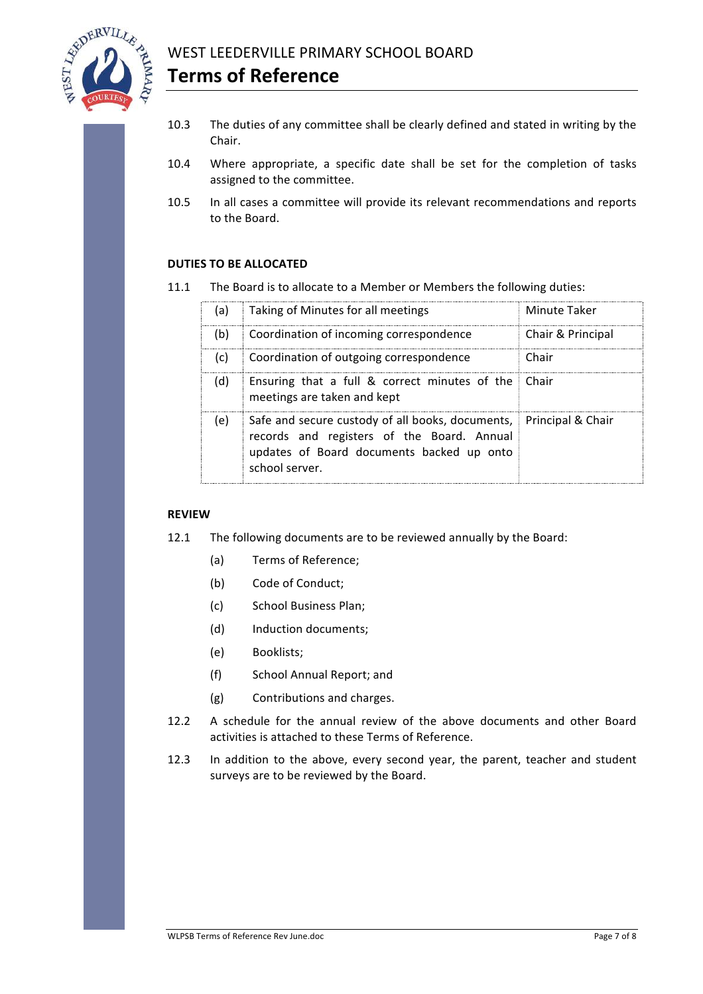

- 10.3 The duties of any committee shall be clearly defined and stated in writing by the Chair.
- 10.4 Where appropriate, a specific date shall be set for the completion of tasks assigned to the committee.
- 10.5 In all cases a committee will provide its relevant recommendations and reports to the Board.

# **DUTIES TO BE ALLOCATED**

11.1 The Board is to allocate to a Member or Members the following duties:

| (a) | Taking of Minutes for all meetings                                                                                                                                              | Minute Taker      |
|-----|---------------------------------------------------------------------------------------------------------------------------------------------------------------------------------|-------------------|
| (b) | Coordination of incoming correspondence                                                                                                                                         | Chair & Principal |
| (c) | Coordination of outgoing correspondence                                                                                                                                         | Chair             |
| (d) | Ensuring that a full & correct minutes of the<br>meetings are taken and kept                                                                                                    |                   |
| (e) | Safe and secure custody of all books, documents, Principal & Chair<br>records and registers of the Board. Annual<br>updates of Board documents backed up onto<br>school server. |                   |

### **REVIEW**

- 12.1 The following documents are to be reviewed annually by the Board:
	- (a) Terms of Reference;
	- (b) Code of Conduct;
	- (c) School Business Plan:
	- (d) Induction documents:
	- (e) Booklists;
	- (f) School Annual Report; and
	- (g) Contributions and charges.
- 12.2 A schedule for the annual review of the above documents and other Board activities is attached to these Terms of Reference.
- 12.3 In addition to the above, every second year, the parent, teacher and student surveys are to be reviewed by the Board.